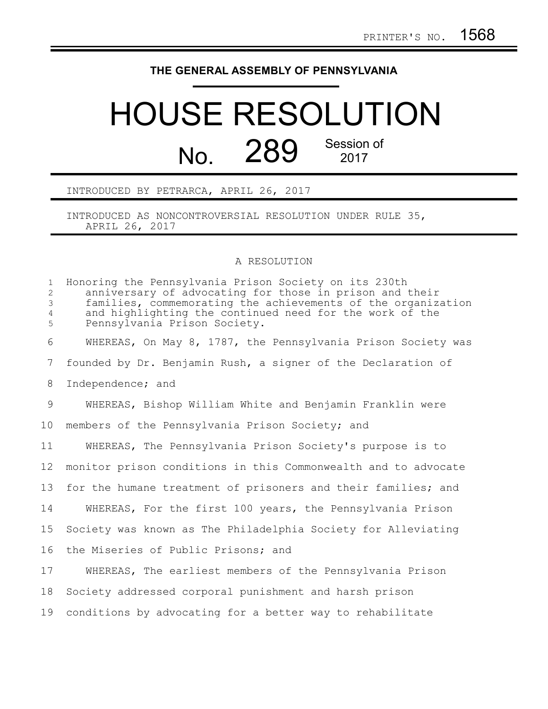## **THE GENERAL ASSEMBLY OF PENNSYLVANIA**

## HOUSE RESOLUTION No. 289 Session of

INTRODUCED BY PETRARCA, APRIL 26, 2017

INTRODUCED AS NONCONTROVERSIAL RESOLUTION UNDER RULE 35, APRIL 26, 2017

## A RESOLUTION

| $\mathbf{1}$<br>$\overline{c}$<br>3<br>$\overline{4}$<br>5 | Honoring the Pennsylvania Prison Society on its 230th<br>anniversary of advocating for those in prison and their<br>families, commemorating the achievements of the organization<br>and highlighting the continued need for the work of the<br>Pennsylvania Prison Society. |
|------------------------------------------------------------|-----------------------------------------------------------------------------------------------------------------------------------------------------------------------------------------------------------------------------------------------------------------------------|
| 6                                                          | WHEREAS, On May 8, 1787, the Pennsylvania Prison Society was                                                                                                                                                                                                                |
| $7\phantom{.0}$                                            | founded by Dr. Benjamin Rush, a signer of the Declaration of                                                                                                                                                                                                                |
| 8                                                          | Independence; and                                                                                                                                                                                                                                                           |
| 9                                                          | WHEREAS, Bishop William White and Benjamin Franklin were                                                                                                                                                                                                                    |
| 10                                                         | members of the Pennsylvania Prison Society; and                                                                                                                                                                                                                             |
| 11                                                         | WHEREAS, The Pennsylvania Prison Society's purpose is to                                                                                                                                                                                                                    |
| 12                                                         | monitor prison conditions in this Commonwealth and to advocate                                                                                                                                                                                                              |
| 13                                                         | for the humane treatment of prisoners and their families; and                                                                                                                                                                                                               |
| 14                                                         | WHEREAS, For the first 100 years, the Pennsylvania Prison                                                                                                                                                                                                                   |
| 15                                                         | Society was known as The Philadelphia Society for Alleviating                                                                                                                                                                                                               |
| 16                                                         | the Miseries of Public Prisons; and                                                                                                                                                                                                                                         |
| 17                                                         | WHEREAS, The earliest members of the Pennsylvania Prison                                                                                                                                                                                                                    |
| 18                                                         | Society addressed corporal punishment and harsh prison                                                                                                                                                                                                                      |
| 19                                                         | conditions by advocating for a better way to rehabilitate                                                                                                                                                                                                                   |